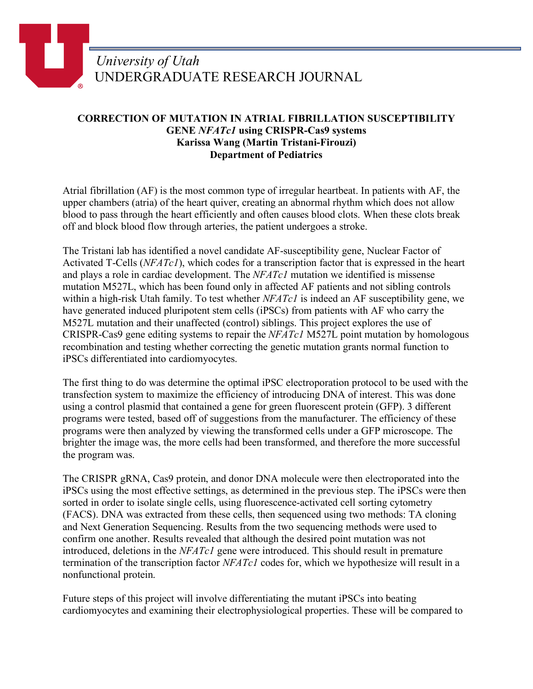## *University of Utah* UNDERGRADUATE RESEARCH JOURNAL

## **CORRECTION OF MUTATION IN ATRIAL FIBRILLATION SUSCEPTIBILITY GENE** *NFATc1* **using CRISPR-Cas9 systems Karissa Wang (Martin Tristani-Firouzi) Department of Pediatrics**

Atrial fibrillation (AF) is the most common type of irregular heartbeat. In patients with AF, the upper chambers (atria) of the heart quiver, creating an abnormal rhythm which does not allow blood to pass through the heart efficiently and often causes blood clots. When these clots break off and block blood flow through arteries, the patient undergoes a stroke.

The Tristani lab has identified a novel candidate AF-susceptibility gene, Nuclear Factor of Activated T-Cells (*NFATc1*), which codes for a transcription factor that is expressed in the heart and plays a role in cardiac development. The *NFATc1* mutation we identified is missense mutation M527L, which has been found only in affected AF patients and not sibling controls within a high-risk Utah family. To test whether *NFATc1* is indeed an AF susceptibility gene, we have generated induced pluripotent stem cells (iPSCs) from patients with AF who carry the M527L mutation and their unaffected (control) siblings. This project explores the use of CRISPR-Cas9 gene editing systems to repair the *NFATc1* M527L point mutation by homologous recombination and testing whether correcting the genetic mutation grants normal function to iPSCs differentiated into cardiomyocytes.

The first thing to do was determine the optimal iPSC electroporation protocol to be used with the transfection system to maximize the efficiency of introducing DNA of interest. This was done using a control plasmid that contained a gene for green fluorescent protein (GFP). 3 different programs were tested, based off of suggestions from the manufacturer. The efficiency of these programs were then analyzed by viewing the transformed cells under a GFP microscope. The brighter the image was, the more cells had been transformed, and therefore the more successful the program was.

The CRISPR gRNA, Cas9 protein, and donor DNA molecule were then electroporated into the iPSCs using the most effective settings, as determined in the previous step. The iPSCs were then sorted in order to isolate single cells, using fluorescence-activated cell sorting cytometry (FACS). DNA was extracted from these cells, then sequenced using two methods: TA cloning and Next Generation Sequencing. Results from the two sequencing methods were used to confirm one another. Results revealed that although the desired point mutation was not introduced, deletions in the *NFATc1* gene were introduced. This should result in premature termination of the transcription factor *NFATc1* codes for, which we hypothesize will result in a nonfunctional protein.

Future steps of this project will involve differentiating the mutant iPSCs into beating cardiomyocytes and examining their electrophysiological properties. These will be compared to